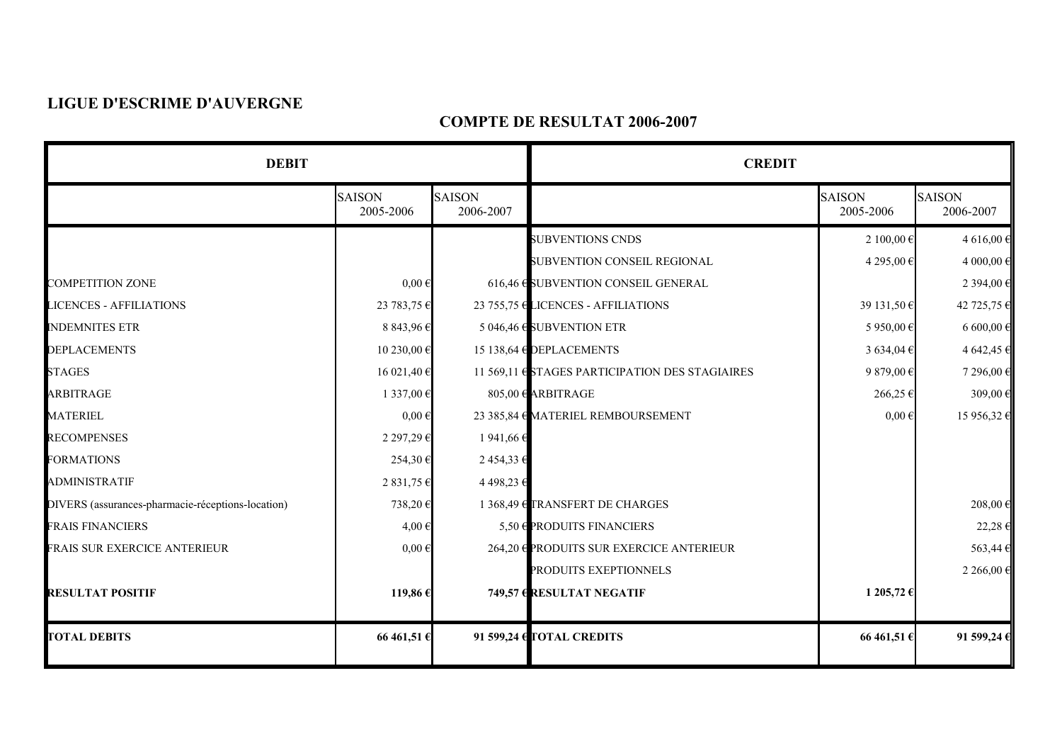## **LIGUE D'ESCRIME D'AUVERGNE**

## **COMPTE DE RESULTAT 2006-2007**

| <b>DEBIT</b>                                      |                            |                            | <b>CREDIT</b>                                   |                            |                            |
|---------------------------------------------------|----------------------------|----------------------------|-------------------------------------------------|----------------------------|----------------------------|
|                                                   | <b>SAISON</b><br>2005-2006 | <b>SAISON</b><br>2006-2007 |                                                 | <b>SAISON</b><br>2005-2006 | <b>SAISON</b><br>2006-2007 |
|                                                   |                            |                            | <b>SUBVENTIONS CNDS</b>                         | 2 100,00 €                 | 4 616,00 €                 |
|                                                   |                            |                            | SUBVENTION CONSEIL REGIONAL                     | 4 295,00 €                 | 4 000,00 €                 |
| <b>COMPETITION ZONE</b>                           | $0,00 \in$                 |                            | 616,46 € SUBVENTION CONSEIL GENERAL             |                            | 2 394,00 €                 |
| <b>LICENCES - AFFILIATIONS</b>                    | 23 783,75 €                |                            | 23 755,75 € LICENCES - AFFILIATIONS             | 39 131,50 €                | 42 725,75 €                |
| <b>INDEMNITES ETR</b>                             | 8 843,96 €                 |                            | 5 046,46 $\epsilon$ SUBVENTION ETR              | 5 950,00 €                 | $6600,00$ €                |
| <b>DEPLACEMENTS</b>                               | 10 230,00 €                |                            | 15 138,64 $\bigoplus$ DEPLACEMENTS              | 3 634,04 $\in$             | 4 642,45 $\in$             |
| <b>STAGES</b>                                     | 16 021,40 €                |                            | 11 569,11 ♦ STAGES PARTICIPATION DES STAGIAIRES | 9 879,00 €                 | 7 296,00 €                 |
| ARBITRAGE                                         | 1 337,00 €                 |                            | $805,00$ € ARBITRAGE                            | 266,25€                    | 309,00 $\in$               |
| <b>MATERIEL</b>                                   | $0,00 \in$                 |                            | 23 385,84 € MATERIEL REMBOURSEMENT              | $0,00 \in$                 | 15 956,32 €                |
| <b>RECOMPENSES</b>                                | 2 297,29€                  | 1 941,66 €                 |                                                 |                            |                            |
| <b>FORMATIONS</b>                                 | 254,30€                    | 2454,336                   |                                                 |                            |                            |
| <b>ADMINISTRATIF</b>                              | 2 831,75 €                 | 4498,23€                   |                                                 |                            |                            |
| DIVERS (assurances-pharmacie-réceptions-location) | 738,20€                    |                            | 1 368,49 € TRANSFERT DE CHARGES                 |                            | $208,00$ €                 |
| <b>FRAIS FINANCIERS</b>                           | 4,00€                      |                            | 5,50 $\bigoplus$ PRODUITS FINANCIERS            |                            | $22,28 \in$                |
| <b>FRAIS SUR EXERCICE ANTERIEUR</b>               | $0,00 \in$                 |                            | 264,20 € PRODUITS SUR EXERCICE ANTERIEUR        |                            | $563,44 \text{ } \in$      |
|                                                   |                            |                            | PRODUITS EXEPTIONNELS                           |                            | 2 266,00 €                 |
| <b>RESULTAT POSITIF</b>                           | 119,86€                    |                            | 749,57 ERESULTAT NEGATIF                        | 1 205,72 €                 |                            |
| <b>TOTAL DEBITS</b>                               | 66 461,51€                 |                            | 91 599,24 CTOTAL CREDITS                        | 66 461,51 €                | 91599,246                  |